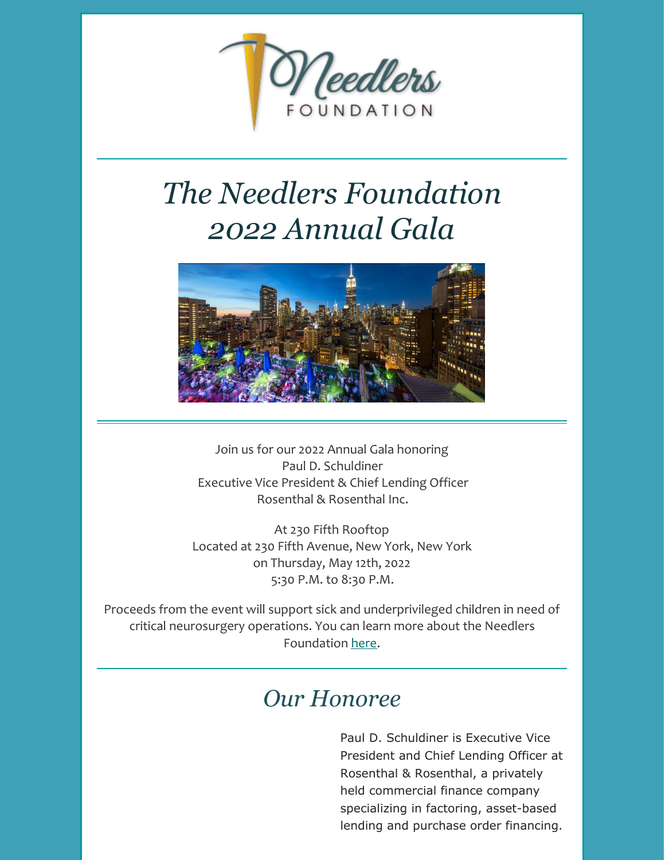

# *The Needlers Foundation 2022 Annual Gala*



Join us for our 2022 Annual Gala honoring Paul D. Schuldiner Executive Vice President & Chief Lending Officer Rosenthal & Rosenthal Inc.

At 230 Fifth Rooftop Located at 230 Fifth Avenue, New York, New York on Thursday, May 12th, 2022 5:30 P.M. to 8:30 P.M.

Proceeds from the event will support sick and underprivileged children in need of critical neurosurgery operations. You can learn more about the Needlers Foundation [here](http://www.needlers.org/).

## *Our Honoree*

Paul D. Schuldiner is Executive Vice President and Chief Lending Officer at Rosenthal & Rosenthal, a privately held commercial finance company specializing in factoring, asset-based lending and purchase order financing.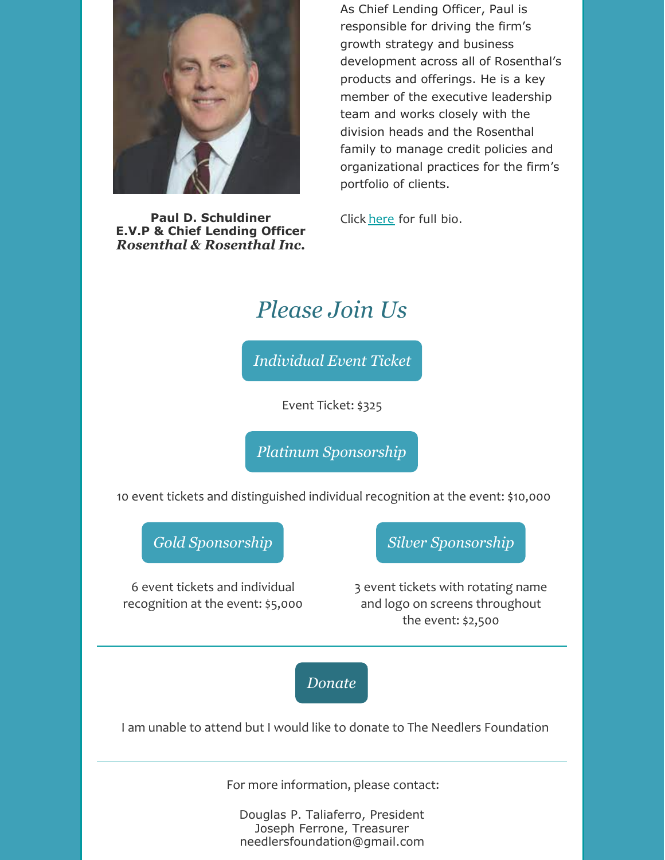

**Paul D. Schuldiner E.V.P & Chief Lending Officer** *Rosenthal & Rosenthal Inc.* As Chief Lending Officer, Paul is responsible for driving the firm's growth strategy and business development across all of Rosenthal's products and offerings. He is a key member of the executive leadership team and works closely with the division heads and the Rosenthal family to manage credit policies and organizational practices for the firm's portfolio of clients.

Click [here](https://files.constantcontact.com/903280e0601/c7b9e4b3-bf74-4e0f-93ba-ca868e37fe38.docx) for full bio.

## *Please Join Us*

*[Individual](https://www.paypal.com/cgi-bin/webscr?cmd=_s-xclick&hosted_button_id=5D5Z4NE9HWCL8) Event Ticket*

Event Ticket: \$325

*Platinum [Sponsorship](https://www.paypal.com/cgi-bin/webscr?cmd=_s-xclick&hosted_button_id=NE2J765WYSE4A)*

10 event tickets and distinguished individual recognition at the event: \$10,000

*Gold [Sponsorship](https://www.paypal.com/cgi-bin/webscr?cmd=_s-xclick&hosted_button_id=AHKDNCFAJX9MJ)*

6 event tickets and individual recognition at the event: \$5,000 *Silver [Sponsorship](https://www.paypal.com/cgi-bin/webscr?cmd=_s-xclick&hosted_button_id=QXNJVFALLTP94)*

3 event tickets with rotating name and logo on screens throughout the event: \$2,500

*[Donate](https://www.paypal.com/cgi-bin/webscr?cmd=_s-xclick&hosted_button_id=G9UC62K445VWA)*

I am unable to attend but I would like to donate to The Needlers Foundation

For more information, please contact:

Douglas P. Taliaferro, President Joseph Ferrone, Treasurer needlersfoundation@gmail.com